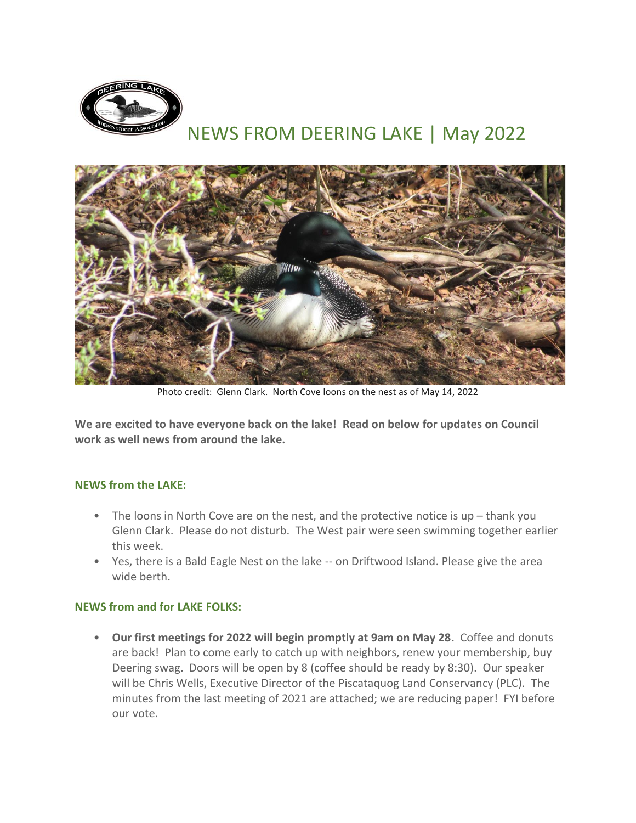

# NEWS FROM DEERING LAKE | May 2022



Photo credit: Glenn Clark. North Cove loons on the nest as of May 14, 2022

**We are excited to have everyone back on the lake! Read on below for updates on Council work as well news from around the lake.**

#### **NEWS from the LAKE:**

- The loons in North Cove are on the nest, and the protective notice is  $up$  thank you Glenn Clark. Please do not disturb. The West pair were seen swimming together earlier this week.
- Yes, there is a Bald Eagle Nest on the lake -- on Driftwood Island. Please give the area wide berth.

### **NEWS from and for LAKE FOLKS:**

• **Our first meetings for 2022 will begin promptly at 9am on May 28**. Coffee and donuts are back! Plan to come early to catch up with neighbors, renew your membership, buy Deering swag. Doors will be open by 8 (coffee should be ready by 8:30). Our speaker will be Chris Wells, Executive Director of the Piscataquog Land Conservancy (PLC). The minutes from the last meeting of 2021 are attached; we are reducing paper! FYI before our vote.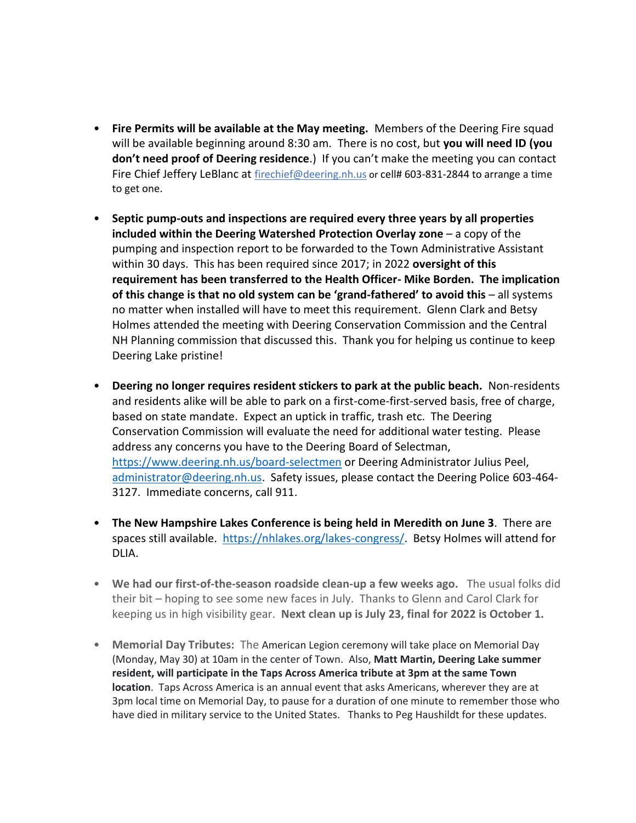- **Fire Permits will be available at the May meeting.** Members of the Deering Fire squad will be available beginning around 8:30 am. There is no cost, but **you will need ID (you don't need proof of Deering residence**.) If you can't make the meeting you can contact Fire Chief Jeffery LeBlanc at [firechief@deering.nh.us](mailto:firechief@deering.nh.us) or cell# 603-831-2844 to arrange a time to get one.
- **Septic pump-outs and inspections are required every three years by all properties included within the Deering Watershed Protection Overlay zone** – a copy of the pumping and inspection report to be forwarded to the Town Administrative Assistant within 30 days. This has been required since 2017; in 2022 **oversight of this requirement has been transferred to the Health Officer- Mike Borden. The implication of this change is that no old system can be 'grand-fathered' to avoid this** – all systems no matter when installed will have to meet this requirement. Glenn Clark and Betsy Holmes attended the meeting with Deering Conservation Commission and the Central NH Planning commission that discussed this. Thank you for helping us continue to keep Deering Lake pristine!
- **Deering no longer requires resident stickers to park at the public beach.** Non-residents and residents alike will be able to park on a first-come-first-served basis, free of charge, based on state mandate. Expect an uptick in traffic, trash etc. The Deering Conservation Commission will evaluate the need for additional water testing. Please address any concerns you have to the Deering Board of Selectman, <https://www.deering.nh.us/board-selectmen> or Deering Administrator Julius Peel, [administrator@deering.nh.us.](mailto:administrator@deering.nh.us) Safety issues, please contact the Deering Police 603-464- 3127. Immediate concerns, call 911.
- **The New Hampshire Lakes Conference is being held in Meredith on June 3**. There are spaces still available. [https://nhlakes.org/lakes-congress/.](https://nhlakes.org/lakes-congress/) Betsy Holmes will attend for DLIA.
- **We had our first-of-the-season roadside clean-up a few weeks ago.** The usual folks did their bit – hoping to see some new faces in July. Thanks to Glenn and Carol Clark for keeping us in high visibility gear. **Next clean up is July 23, final for 2022 is October 1.**
- **Memorial Day Tributes:** The American Legion ceremony will take place on Memorial Day (Monday, May 30) at 10am in the center of Town. Also, **Matt Martin, Deering Lake summer resident, will participate in the Taps Across America tribute at 3pm at the same Town location**. Taps Across America is an annual event that asks Americans, wherever they are at 3pm local time on Memorial Day, to pause for a duration of one minute to remember those who have died in military service to the United States. Thanks to Peg Haushildt for these updates.